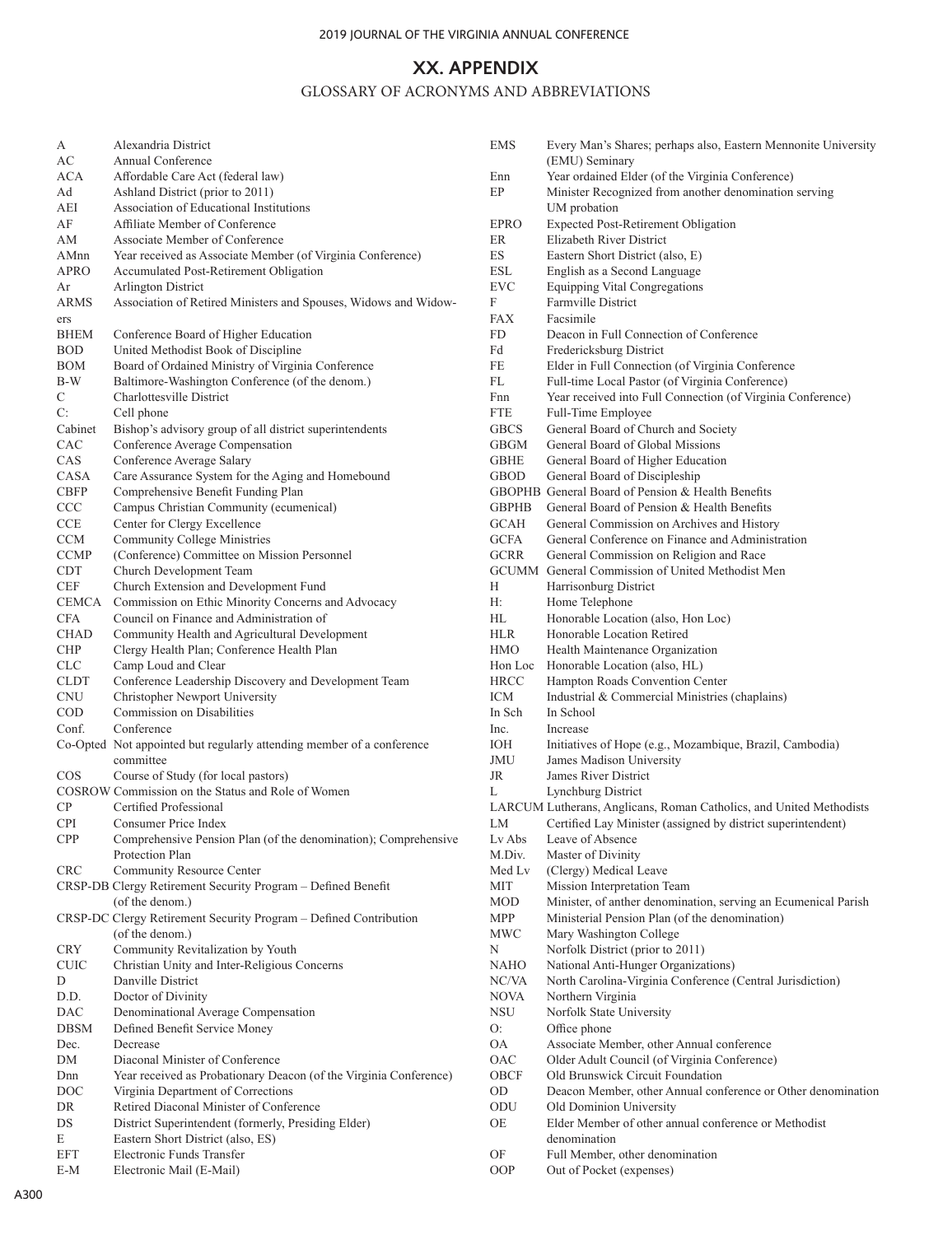## **XX. APPENDIX**

## GLOSSARY OF ACRONYMS AND ABBREVIATIONS

| А           | Alexandria District                                                   |
|-------------|-----------------------------------------------------------------------|
| AС          | Annual Conference                                                     |
| ACA         | Affordable Care Act (federal law)                                     |
| Ad          | Ashland District (prior to 2011)                                      |
| AEI         | Association of Educational Institutions                               |
| AF          | Affiliate Member of Conference                                        |
| AМ          | Associate Member of Conference                                        |
| AMnn        | Year received as Associate Member (of Virginia Conference)            |
| <b>APRO</b> | Accumulated Post-Retirement Obligation                                |
| Ar          | Arlington District                                                    |
| ARMS        | Association of Retired Ministers and Spouses, Widows and Widow-       |
|             |                                                                       |
| ers         |                                                                       |
| BHEM        | Conference Board of Higher Education                                  |
| BOD         | United Methodist Book of Discipline                                   |
| BOM         | Board of Ordained Ministry of Virginia Conference                     |
| B-W         | Baltimore-Washington Conference (of the denom.)                       |
| С           | Charlottesville District                                              |
| C:          | Cell phone                                                            |
| Cabinet     | Bishop's advisory group of all district superintendents               |
| CAC         | Conference Average Compensation                                       |
| CAS         | Conference Average Salary                                             |
| CASA        | Care Assurance System for the Aging and Homebound                     |
| CBFP        | Comprehensive Benefit Funding Plan                                    |
| CCC         | Campus Christian Community (ecumenical)                               |
| CCE         | Center for Clergy Excellence                                          |
| CCM         | <b>Community College Ministries</b>                                   |
| CCMP        | (Conference) Committee on Mission Personnel                           |
|             |                                                                       |
| CDT         | Church Development Team                                               |
| CEF         | Church Extension and Development Fund                                 |
| CEMCA       | Commission on Ethic Minority Concerns and Advocacy                    |
| CFA         | Council on Finance and Administration of                              |
| CHAD        | Community Health and Agricultural Development                         |
| CHP         | Clergy Health Plan; Conference Health Plan                            |
| CLC         | Camp Loud and Clear                                                   |
| CLDT        | Conference Leadership Discovery and Development Team                  |
| CNU         | Christopher Newport University                                        |
| COD         | Commission on Disabilities                                            |
| Conf.       | Conference                                                            |
|             | Co-Opted Not appointed but regularly attending member of a conference |
|             | committee                                                             |
| COS         | Course of Study (for local pastors)                                   |
|             | COSROW Commission on the Status and Role of Women                     |
| СP          | Certified Professional                                                |
|             | Consumer Price Index                                                  |
| CPI         |                                                                       |
| CPP         | Comprehensive Pension Plan (of the denomination); Comprehensive       |
|             | Protection Plan                                                       |
| CRC         | Community Resource Center                                             |
|             | CRSP-DB Clergy Retirement Security Program - Defined Benefit          |
|             | (of the denom.)                                                       |
|             | CRSP-DC Clergy Retirement Security Program - Defined Contribution     |
|             | (of the denom.)                                                       |
| CRY         | Community Revitalization by Youth                                     |
| CUIC        | Christian Unity and Inter-Religious Concerns                          |
| D           | Danville District                                                     |
| D.D.        | Doctor of Divinity                                                    |
| DAC         | Denominational Average Compensation                                   |
| DBSM        | Defined Benefit Service Money                                         |
| Dec.        | Decrease                                                              |
| DΜ          | Diaconal Minister of Conference                                       |
|             |                                                                       |
| Dnn         | Year received as Probationary Deacon (of the Virginia Conference)     |
| DOC         | Virginia Department of Corrections                                    |
| DR          | Retired Diaconal Minister of Conference                               |
| DS          | District Superintendent (formerly, Presiding Elder)                   |
| E           | Eastern Short District (also, ES)                                     |
| EFT         | Electronic Funds Transfer                                             |
| E-M         | Electronic Mail (E-Mail)                                              |

| unumg 1 ian<br>unity (ecumenical)                     |
|-------------------------------------------------------|
| ence                                                  |
| istries<br>on Mission Personnel                       |
| ım                                                    |
| evelopment Fund                                       |
| nority Concerns and Advocacy                          |
| Administration of                                     |
| sgricultural Development<br>ference Health Plan       |
|                                                       |
| Discovery and Development Team                        |
| iversity                                              |
| ies                                                   |
| rly attending member of a conference                  |
|                                                       |
| d pastors)<br>s and Role of Women                     |
|                                                       |
|                                                       |
| Plan (of the denomination); Comprehensive             |
| nter                                                  |
| ty Program - Defined Benefit                          |
|                                                       |
| ty Program - Defined Contribution                     |
| n by Youth                                            |
| -Religious Concerns                                   |
|                                                       |
| Compensation                                          |
| Money                                                 |
|                                                       |
| iference<br>onary Deacon (of the Virginia Conference) |
| <b>Corrections</b>                                    |
|                                                       |
| r of Conference                                       |
| formerly, Presiding Elder)                            |
| so, ES)                                               |
| r                                                     |
|                                                       |
|                                                       |
|                                                       |
|                                                       |
|                                                       |
|                                                       |
|                                                       |
|                                                       |
|                                                       |
|                                                       |

| EMS         | Every Man's Shares; perhaps also, Eastern Mennonite University      |
|-------------|---------------------------------------------------------------------|
|             | (EMU) Seminary                                                      |
| Enn         | Year ordained Elder (of the Virginia Conference)                    |
| EP          | Minister Recognized from another denomination serving               |
|             | UM probation                                                        |
| EPRO        | <b>Expected Post-Retirement Obligation</b>                          |
| <b>ER</b>   | Elizabeth River District                                            |
| ES          | Eastern Short District (also, E)                                    |
| ESL         | English as a Second Language                                        |
| EVC         | Equipping Vital Congregations                                       |
| F           | Farmville District                                                  |
| <b>FAX</b>  | Facsimile                                                           |
| FD          | Deacon in Full Connection of Conference                             |
| Fd          | Fredericksburg District                                             |
| FE          | Elder in Full Connection (of Virginia Conference                    |
| FL          | Full-time Local Pastor (of Virginia Conference)                     |
| Fnn         | Year received into Full Connection (of Virginia Conference)         |
| <b>FTE</b>  | Full-Time Employee                                                  |
| <b>GBCS</b> | General Board of Church and Society                                 |
| GBGM        | General Board of Global Missions                                    |
| <b>GBHE</b> | General Board of Higher Education                                   |
| <b>GBOD</b> | General Board of Discipleship                                       |
|             | GBOPHB General Board of Pension & Health Benefits                   |
| GBPHB       | General Board of Pension & Health Benefits                          |
| GCAH        | General Commission on Archives and History                          |
| <b>GCFA</b> | General Conference on Finance and Administration                    |
| <b>GCRR</b> | General Commission on Religion and Race                             |
|             | GCUMM General Commission of United Methodist Men                    |
| н           | Harrisonburg District                                               |
| H:          | Home Telephone                                                      |
| HL          | Honorable Location (also, Hon Loc)                                  |
| HLR         | Honorable Location Retired                                          |
| HMO         | Health Maintenance Organization                                     |
| Hon Loc     | Honorable Location (also, HL)                                       |
| <b>HRCC</b> | Hampton Roads Convention Center                                     |
| <b>ICM</b>  | Industrial & Commercial Ministries (chaplains)                      |
| In Sch      | In School                                                           |
| Inc.        | Increase                                                            |
| ЮH          | Initiatives of Hope (e.g., Mozambique, Brazil, Cambodia)            |
| JMU         | James Madison University                                            |
| JR          | James River District                                                |
| L           | Lynchburg District                                                  |
|             | LARCUM Lutherans, Anglicans, Roman Catholics, and United Methodists |
| LМ          | Certified Lay Minister (assigned by district superintendent)        |
| Ly Abs      | Leave of Absence                                                    |
| M.Div.      |                                                                     |
|             | Master of Divinity                                                  |
| Med Lv      | (Clergy) Medical Leave                                              |
| MIT         | Mission Interpretation Team                                         |
| MOD         | Minister, of anther denomination, serving an Ecumenical Parish      |
| MPP         | Ministerial Pension Plan (of the denomination)                      |
| MWC         | Mary Washington College                                             |
| Ν           | Norfolk District (prior to 2011)                                    |
| NAHO        | National Anti-Hunger Organizations)                                 |
| NC/VA       | North Carolina-Virginia Conference (Central Jurisdiction)           |
| NOVA        | Northern Virginia                                                   |
| NSU         | Norfolk State University                                            |
| O:          | Office phone                                                        |
| ОA          | Associate Member, other Annual conference                           |
| OAC         | Older Adult Council (of Virginia Conference)                        |
| OBCF        | Old Brunswick Circuit Foundation                                    |
| OD          | Deacon Member, other Annual conference or Other denomination        |
| ODU         | Old Dominion University                                             |
| OE          | Elder Member of other annual conference or Methodist                |
|             | denomination                                                        |
| OF          | Full Member, other denomination                                     |
| <b>OOP</b>  | Out of Pocket (expenses)                                            |
|             |                                                                     |